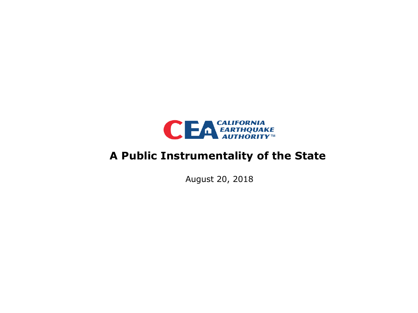

### **A Public Instrumentality of the State**

August 20, 2018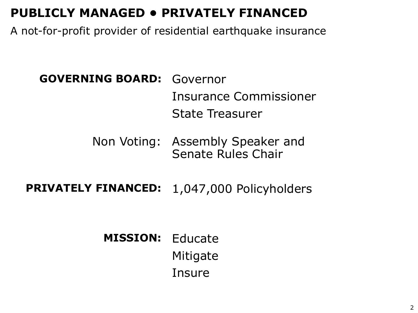# **PUBLICLY MANAGED • PRIVATELY FINANCED**

A not-for-profit provider of residential earthquake insurance

# **GOVERNING BOARD:** Governor Insurance Commissioner State Treasurer

### Non Voting: Assembly Speaker and Senate Rules Chair

**PRIVATELY FINANCED:** 1,047,000 Policyholders

# **MISSION:** Educate Mitigate Insure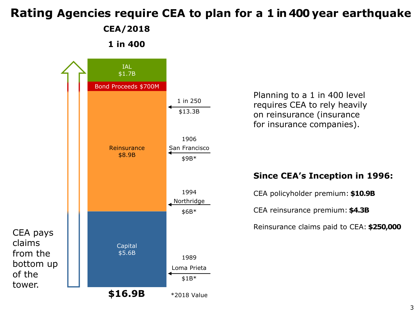# **Rating Agencies require CEA to plan for a 1 in 400 year earthquake**

#### **CEA/2018**

**1 in 400**

Capital

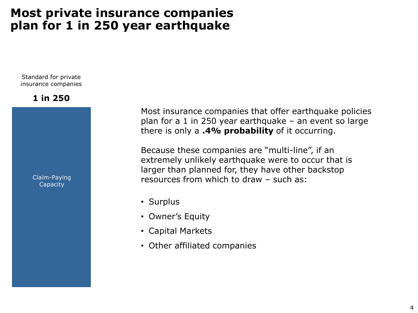### **Most private insurance companies plan for 1 in 250 year earthquake**

Standard for private insurance companies

#### **1 in 250**

Claim-Paying **Capacity** 

Most insurance companies that offer earthquake policies plan for a 1 in 250 year earthquake – an event so large there is only a **.4% probability** of it occurring.

Because these companies are "multi-line", if an extremely unlikely earthquake were to occur that is larger than planned for, they have other backstop resources from which to draw – such as:

- Surplus
- Owner's Equity
- Capital Markets
- Other affiliated companies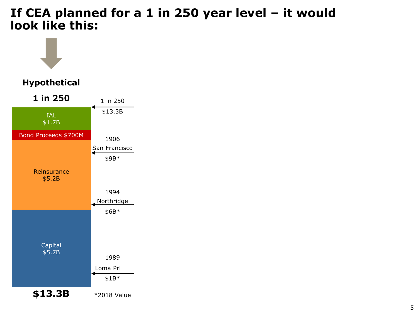#### **If CEA planned for a 1 in 250 year level – it would look like this:**

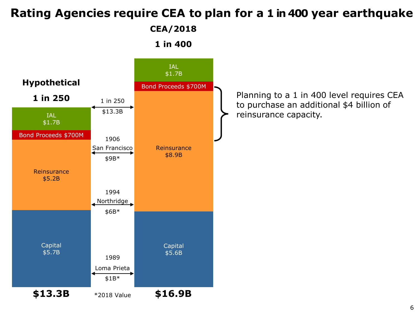### **Rating Agencies require CEA to plan for a 1 in 400 year earthquake**

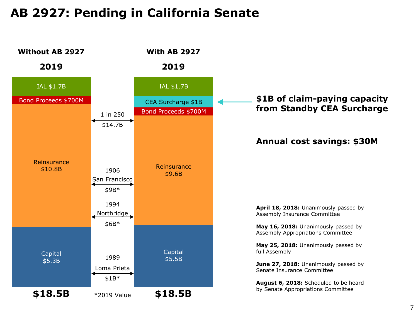## **AB 2927: Pending in California Senate**